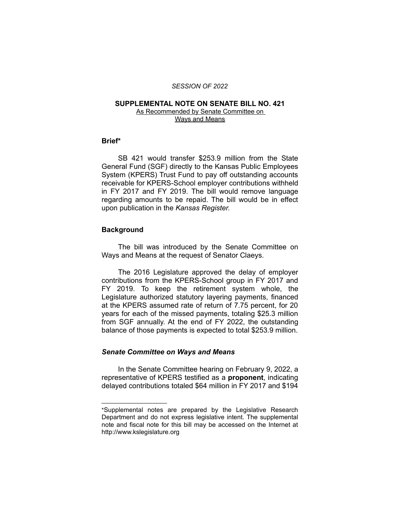#### *SESSION OF 2022*

# **SUPPLEMENTAL NOTE ON SENATE BILL NO. 421**

As Recommended by Senate Committee on Ways and Means

# **Brief\***

SB 421 would transfer \$253.9 million from the State General Fund (SGF) directly to the Kansas Public Employees System (KPERS) Trust Fund to pay off outstanding accounts receivable for KPERS-School employer contributions withheld in FY 2017 and FY 2019. The bill would remove language regarding amounts to be repaid. The bill would be in effect upon publication in the *Kansas Register.*

### **Background**

The bill was introduced by the Senate Committee on Ways and Means at the request of Senator Claeys.

The 2016 Legislature approved the delay of employer contributions from the KPERS-School group in FY 2017 and FY 2019. To keep the retirement system whole, the Legislature authorized statutory layering payments, financed at the KPERS assumed rate of return of 7.75 percent, for 20 years for each of the missed payments, totaling \$25.3 million from SGF annually. At the end of FY 2022, the outstanding balance of those payments is expected to total \$253.9 million.

# *Senate Committee on Ways and Means*

 $\overline{\phantom{a}}$  , where  $\overline{\phantom{a}}$ 

In the Senate Committee hearing on February 9, 2022, a representative of KPERS testified as a **proponent**, indicating delayed contributions totaled \$64 million in FY 2017 and \$194

<sup>\*</sup>Supplemental notes are prepared by the Legislative Research Department and do not express legislative intent. The supplemental note and fiscal note for this bill may be accessed on the Internet at http://www.kslegislature.org